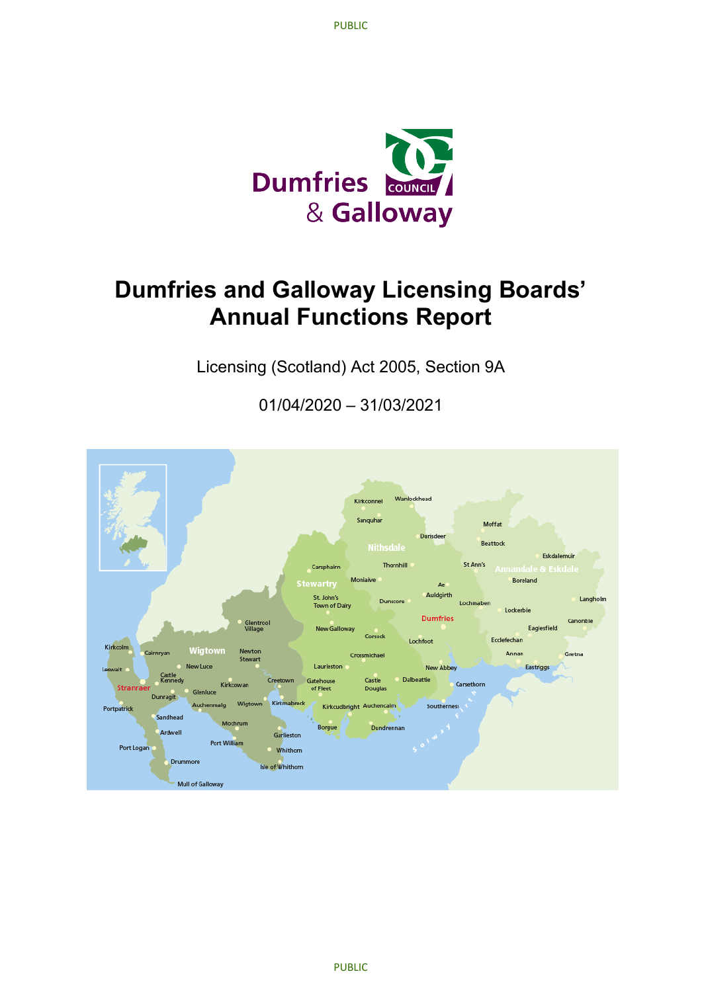

## **Dumfries and Galloway Licensing Boards' Annual Functions Report**

Licensing (Scotland) Act 2005, Section 9A

01/04/2020 – 31/03/2021

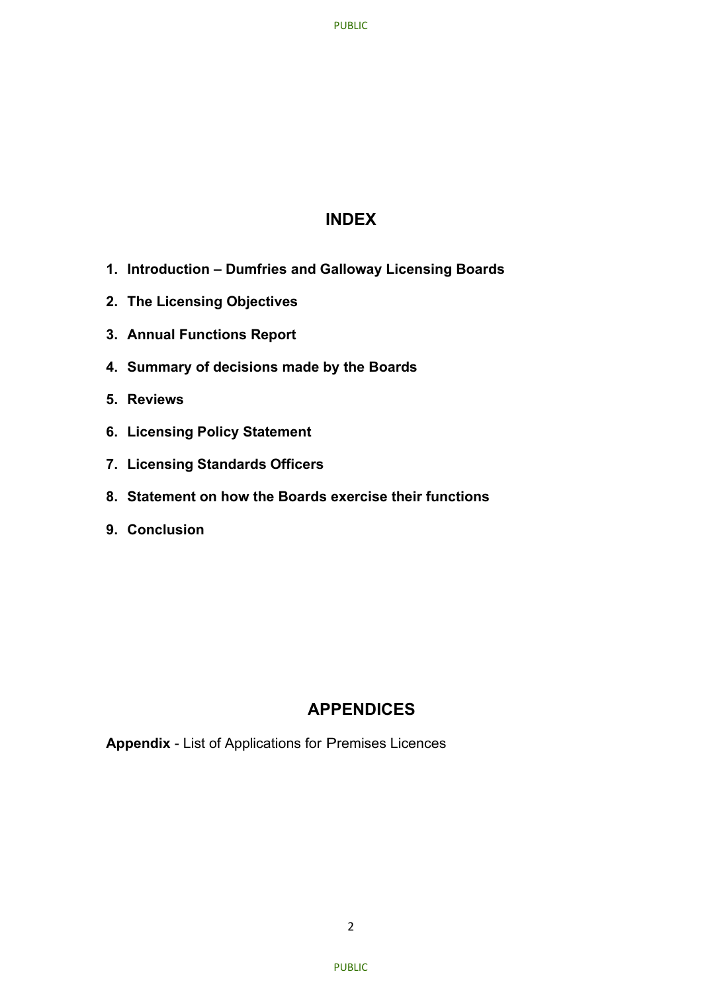#### **INDEX**

- **1. Introduction – Dumfries and Galloway Licensing Boards**
- **2. The Licensing Objectives**
- **3. Annual Functions Report**
- **4. Summary of decisions made by the Boards**
- **5. Reviews**
- **6. Licensing Policy Statement**
- **7. Licensing Standards Officers**
- **8. Statement on how the Boards exercise their functions**
- **9. Conclusion**

## **APPENDICES**

**Appendix** - List of Applications for Premises Licences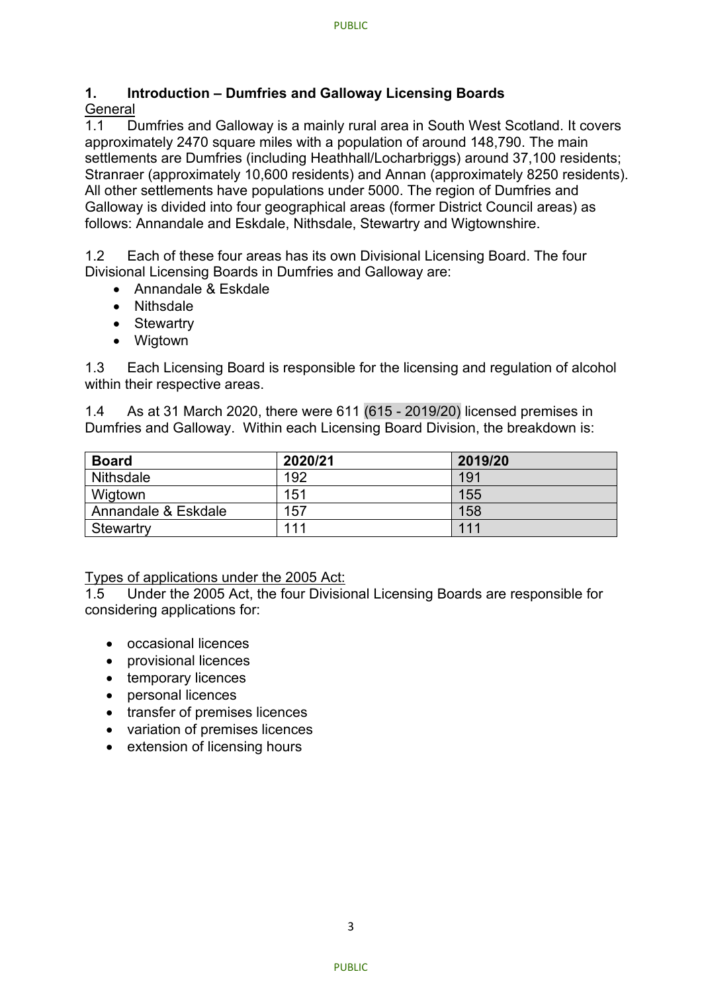### **1. Introduction – Dumfries and Galloway Licensing Boards**

## General<br>11 D

Dumfries and Galloway is a mainly rural area in South West Scotland. It covers approximately 2470 square miles with a population of around 148,790. The main settlements are Dumfries (including Heathhall/Locharbriggs) around 37,100 residents; Stranraer (approximately 10,600 residents) and Annan (approximately 8250 residents). All other settlements have populations under 5000. The region of Dumfries and Galloway is divided into four geographical areas (former District Council areas) as follows: Annandale and Eskdale, Nithsdale, Stewartry and Wigtownshire.

1.2 Each of these four areas has its own Divisional Licensing Board. The four Divisional Licensing Boards in Dumfries and Galloway are:

- Annandale & Eskdale
- Nithsdale
- Stewartry
- Wigtown

1.3 Each Licensing Board is responsible for the licensing and regulation of alcohol within their respective areas.

1.4 As at 31 March 2020, there were 611 (615 - 2019/20) licensed premises in Dumfries and Galloway. Within each Licensing Board Division, the breakdown is:

| <b>Board</b>        | 2020/21 | 2019/20 |
|---------------------|---------|---------|
| <b>Nithsdale</b>    | 192     | 191     |
| Wigtown             | 151     | 155     |
| Annandale & Eskdale | 157     | 158     |
| Stewartry           | 111     | 111     |

#### Types of applications under the 2005 Act:

1.5 Under the 2005 Act, the four Divisional Licensing Boards are responsible for considering applications for:

- occasional licences
- provisional licences
- temporary licences
- personal licences
- transfer of premises licences
- variation of premises licences
- extension of licensing hours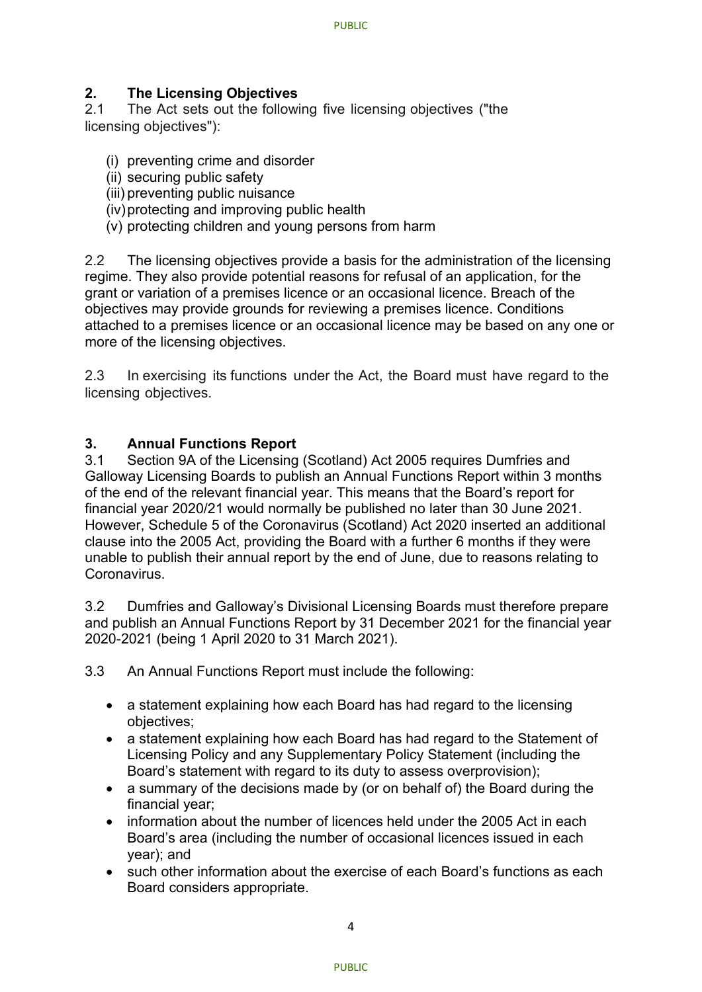# **2. The Licensing Objectives**

The Act sets out the following five licensing objectives ("the licensing objectives"):

- (i) preventing crime and disorder
- (ii) securing public safety
- (iii) preventing public nuisance
- (iv)protecting and improving public health
- (v) protecting children and young persons from harm

2.2 The licensing objectives provide a basis for the administration of the licensing regime. They also provide potential reasons for refusal of an application, for the grant or variation of a premises licence or an occasional licence. Breach of the objectives may provide grounds for reviewing a premises licence. Conditions attached to a premises licence or an occasional licence may be based on any one or more of the licensing objectives.

2.3 In exercising its functions under the Act, the Board must have regard to the licensing objectives.

## **3. Annual Functions Report**

Section 9A of the Licensing (Scotland) Act 2005 requires Dumfries and Galloway Licensing Boards to publish an Annual Functions Report within 3 months of the end of the relevant financial year. This means that the Board's report for financial year 2020/21 would normally be published no later than 30 June 2021. However, Schedule 5 of the Coronavirus (Scotland) Act 2020 inserted an additional clause into the 2005 Act, providing the Board with a further 6 months if they were unable to publish their annual report by the end of June, due to reasons relating to Coronavirus.

3.2 Dumfries and Galloway's Divisional Licensing Boards must therefore prepare and publish an Annual Functions Report by 31 December 2021 for the financial year 2020-2021 (being 1 April 2020 to 31 March 2021).

3.3 An Annual Functions Report must include the following:

- a statement explaining how each Board has had regard to the licensing objectives;
- a statement explaining how each Board has had regard to the Statement of Licensing Policy and any Supplementary Policy Statement (including the Board's statement with regard to its duty to assess overprovision);
- a summary of the decisions made by (or on behalf of) the Board during the financial year;
- information about the number of licences held under the 2005 Act in each Board's area (including the number of occasional licences issued in each year); and
- such other information about the exercise of each Board's functions as each Board considers appropriate.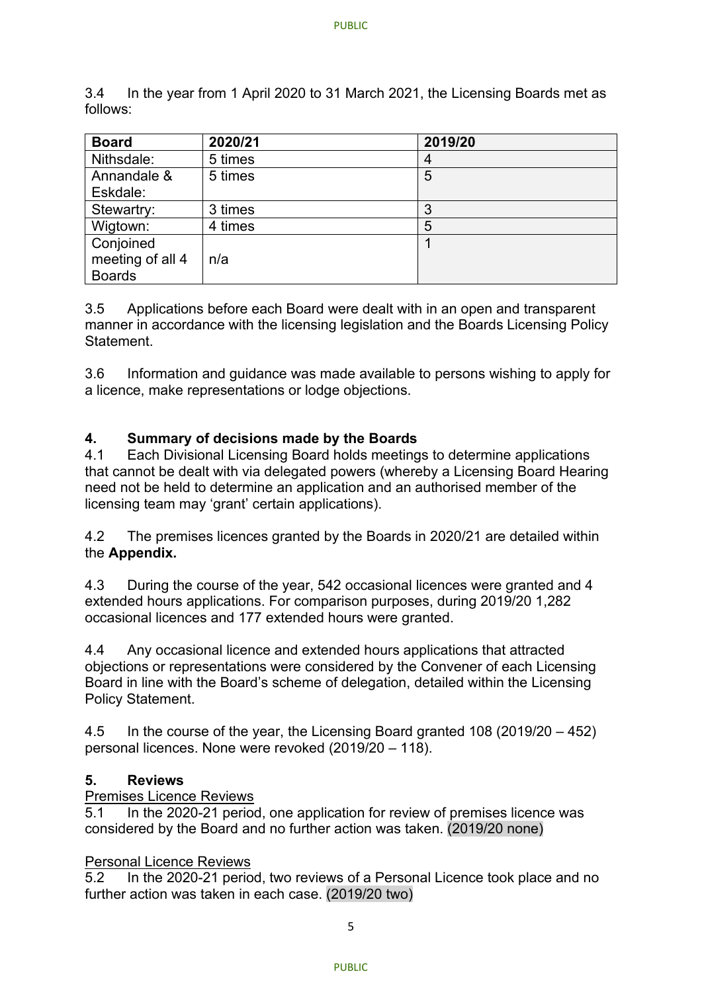3.4 In the year from 1 April 2020 to 31 March 2021, the Licensing Boards met as follows:

| <b>Board</b>     | 2020/21 | 2019/20 |
|------------------|---------|---------|
| Nithsdale:       | 5 times |         |
| Annandale &      | 5 times | 5       |
| Eskdale:         |         |         |
| Stewartry:       | 3 times | 3       |
| Wigtown:         | 4 times | 5       |
| Conjoined        |         |         |
| meeting of all 4 | n/a     |         |
| <b>Boards</b>    |         |         |

3.5 Applications before each Board were dealt with in an open and transparent manner in accordance with the licensing legislation and the Boards Licensing Policy **Statement** 

3.6 Information and guidance was made available to persons wishing to apply for a licence, make representations or lodge objections.

#### **4. Summary of decisions made by the Boards**

4.1 Each Divisional Licensing Board holds meetings to determine applications that cannot be dealt with via delegated powers (whereby a Licensing Board Hearing need not be held to determine an application and an authorised member of the licensing team may 'grant' certain applications).

4.2 The premises licences granted by the Boards in 2020/21 are detailed within the **Appendix.**

4.3 During the course of the year, 542 occasional licences were granted and 4 extended hours applications. For comparison purposes, during 2019/20 1,282 occasional licences and 177 extended hours were granted.

4.4 Any occasional licence and extended hours applications that attracted objections or representations were considered by the Convener of each Licensing Board in line with the Board's scheme of delegation, detailed within the Licensing Policy Statement.

4.5 In the course of the year, the Licensing Board granted 108 (2019/20 – 452) personal licences. None were revoked (2019/20 – 118).

#### **5. Reviews**

#### Premises Licence Reviews

5.1 In the 2020-21 period, one application for review of premises licence was considered by the Board and no further action was taken. (2019/20 none)

#### Personal Licence Reviews

5.2 In the 2020-21 period, two reviews of a Personal Licence took place and no further action was taken in each case. (2019/20 two)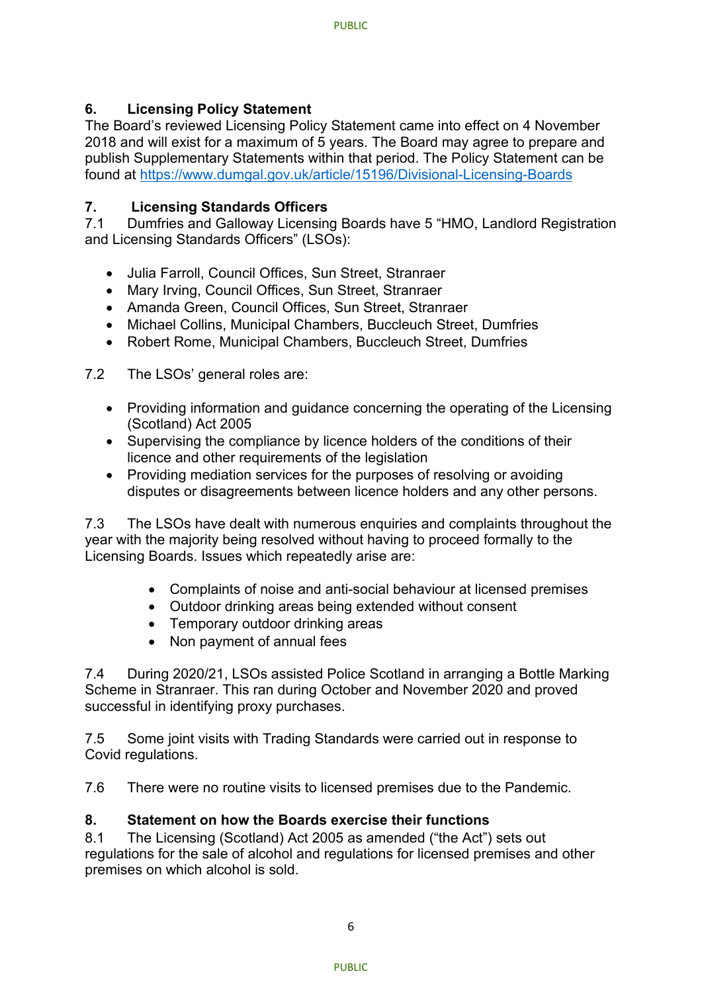#### **6. Licensing Policy Statement**

The Board's reviewed Licensing Policy Statement came into effect on 4 November 2018 and will exist for a maximum of 5 years. The Board may agree to prepare and publish Supplementary Statements within that period. The Policy Statement can be found at<https://www.dumgal.gov.uk/article/15196/Divisional-Licensing-Boards>

#### **7. Licensing Standards Officers**

7.1 Dumfries and Galloway Licensing Boards have 5 "HMO, Landlord Registration and Licensing Standards Officers" (LSOs):

- Julia Farroll, Council Offices, Sun Street, Stranraer
- Mary Irving, Council Offices, Sun Street, Stranraer
- Amanda Green, Council Offices, Sun Street, Stranraer
- Michael Collins, Municipal Chambers, Buccleuch Street, Dumfries
- Robert Rome, Municipal Chambers, Buccleuch Street, Dumfries

7.2 The LSOs' general roles are:

- Providing information and guidance concerning the operating of the Licensing (Scotland) Act 2005
- Supervising the compliance by licence holders of the conditions of their licence and other requirements of the legislation
- Providing mediation services for the purposes of resolving or avoiding disputes or disagreements between licence holders and any other persons.

7.3 The LSOs have dealt with numerous enquiries and complaints throughout the year with the majority being resolved without having to proceed formally to the Licensing Boards. Issues which repeatedly arise are:

- Complaints of noise and anti-social behaviour at licensed premises
- Outdoor drinking areas being extended without consent
- Temporary outdoor drinking areas
- Non payment of annual fees

7.4 During 2020/21, LSOs assisted Police Scotland in arranging a Bottle Marking Scheme in Stranraer. This ran during October and November 2020 and proved successful in identifying proxy purchases.

7.5 Some joint visits with Trading Standards were carried out in response to Covid regulations.

7.6 There were no routine visits to licensed premises due to the Pandemic.

#### **8. Statement on how the Boards exercise their functions**

8.1 The Licensing (Scotland) Act 2005 as amended ("the Act") sets out regulations for the sale of alcohol and regulations for licensed premises and other premises on which alcohol is sold.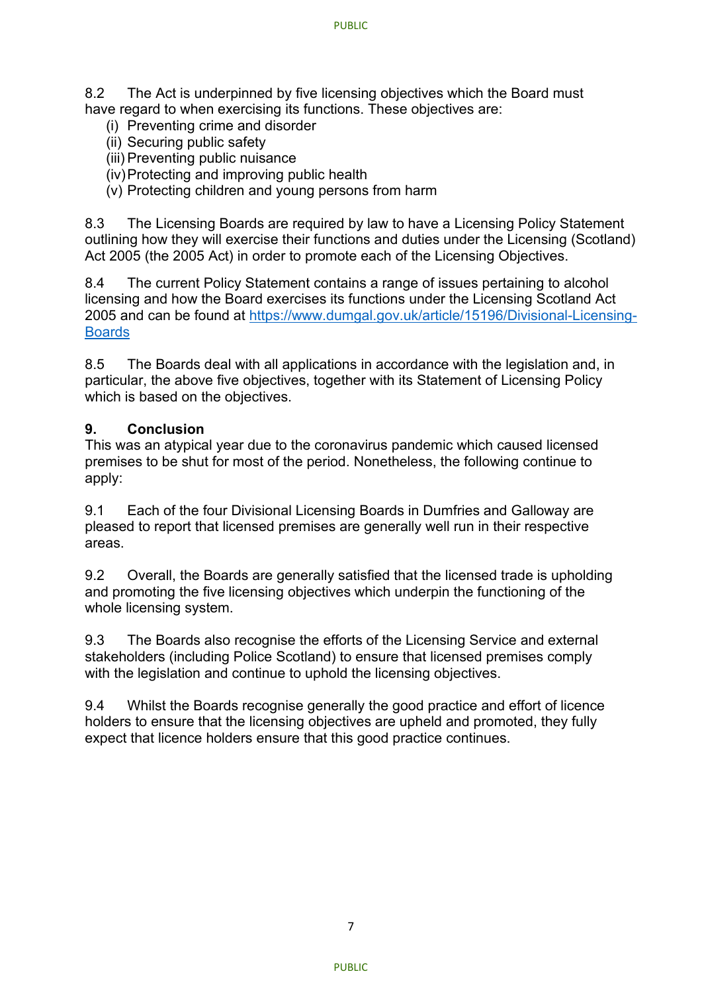8.2 The Act is underpinned by five licensing objectives which the Board must have regard to when exercising its functions. These objectives are:

- (i) Preventing crime and disorder
- (ii) Securing public safety
- (iii) Preventing public nuisance
- (iv)Protecting and improving public health
- (v) Protecting children and young persons from harm

8.3 The Licensing Boards are required by law to have a Licensing Policy Statement outlining how they will exercise their functions and duties under the Licensing (Scotland) Act 2005 (the 2005 Act) in order to promote each of the Licensing Objectives.

8.4 The current Policy Statement contains a range of issues pertaining to alcohol licensing and how the Board exercises its functions under the Licensing Scotland Act 2005 and can be found at [https://www.dumgal.gov.uk/article/15196/Divisional-Licensing-](https://www.dumgal.gov.uk/article/15196/Divisional-Licensing-Boards)**[Boards](https://www.dumgal.gov.uk/article/15196/Divisional-Licensing-Boards)** 

8.5 The Boards deal with all applications in accordance with the legislation and, in particular, the above five objectives, together with its Statement of Licensing Policy which is based on the objectives.

#### **9. Conclusion**

This was an atypical year due to the coronavirus pandemic which caused licensed premises to be shut for most of the period. Nonetheless, the following continue to apply:

9.1 Each of the four Divisional Licensing Boards in Dumfries and Galloway are pleased to report that licensed premises are generally well run in their respective areas.

9.2 Overall, the Boards are generally satisfied that the licensed trade is upholding and promoting the five licensing objectives which underpin the functioning of the whole licensing system.

9.3 The Boards also recognise the efforts of the Licensing Service and external stakeholders (including Police Scotland) to ensure that licensed premises comply with the legislation and continue to uphold the licensing objectives.

9.4 Whilst the Boards recognise generally the good practice and effort of licence holders to ensure that the licensing objectives are upheld and promoted, they fully expect that licence holders ensure that this good practice continues.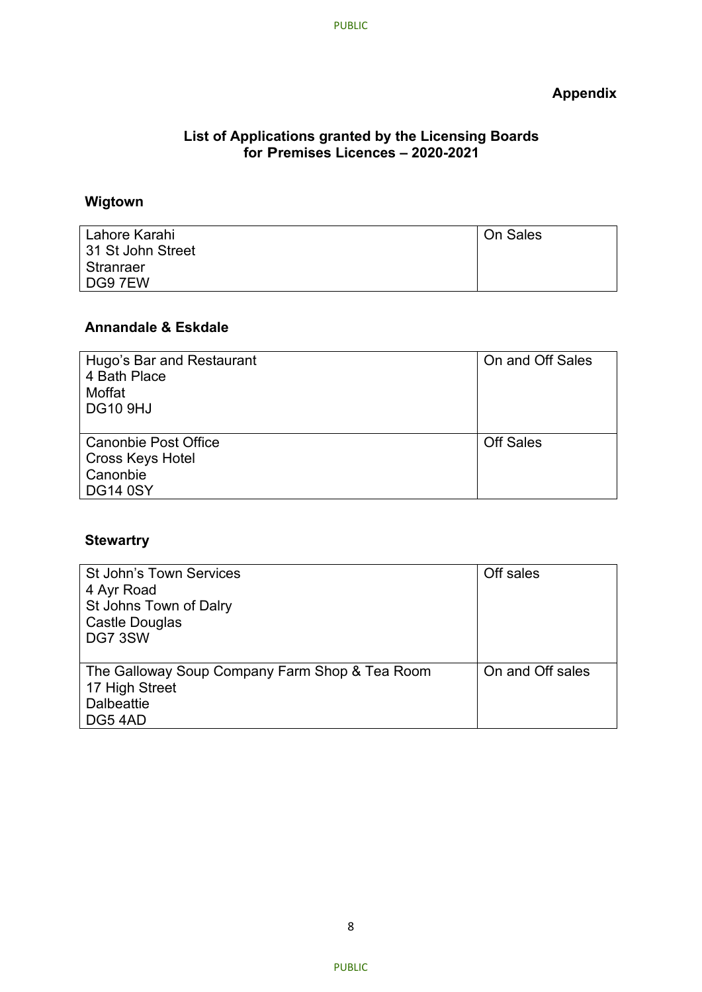### **Appendix**

#### **List of Applications granted by the Licensing Boards for Premises Licences – 2020-2021**

#### **Wigtown**

| Lahore Karahi     | On Sales |
|-------------------|----------|
| 31 St John Street |          |
| Stranraer         |          |
| DG9 7EW           |          |

#### **Annandale & Eskdale**

| Hugo's Bar and Restaurant   | On and Off Sales |
|-----------------------------|------------------|
| 4 Bath Place                |                  |
| Moffat                      |                  |
| <b>DG10 9HJ</b>             |                  |
|                             |                  |
| <b>Canonbie Post Office</b> | <b>Off Sales</b> |
| <b>Cross Keys Hotel</b>     |                  |
| Canonbie                    |                  |
| <b>DG14 0SY</b>             |                  |

### **Stewartry**

| <b>St John's Town Services</b><br>4 Ayr Road<br>St Johns Town of Dalry<br>Castle Douglas<br>DG7 3SW | Off sales        |
|-----------------------------------------------------------------------------------------------------|------------------|
| The Galloway Soup Company Farm Shop & Tea Room<br>17 High Street<br><b>Dalbeattie</b><br>DG54AD     | On and Off sales |